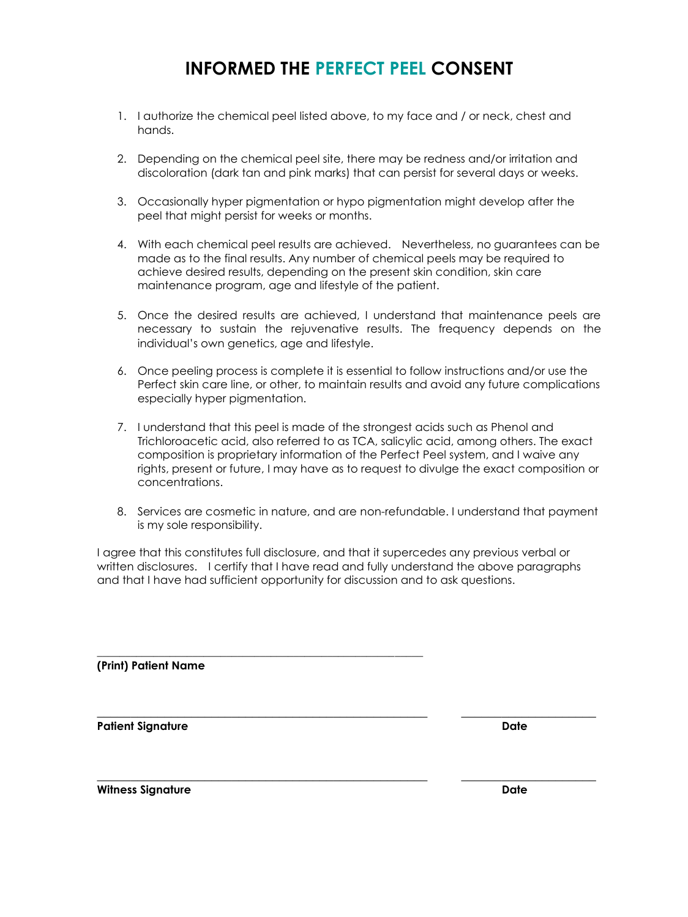## **INFORMED THE PERFECT PEEL CONSENT**

- 1. I authorize the chemical peel listed above, to my face and / or neck, chest and hands.
- 2. Depending on the chemical peel site, there may be redness and/or irritation and discoloration (dark tan and pink marks) that can persist for several days or weeks.
- 3. Occasionally hyper pigmentation or hypo pigmentation might develop after the peel that might persist for weeks or months.
- 4. With each chemical peel results are achieved. Nevertheless, no guarantees can be made as to the final results. Any number of chemical peels may be required to achieve desired results, depending on the present skin condition, skin care maintenance program, age and lifestyle of the patient.
- 5. Once the desired results are achieved, I understand that maintenance peels are necessary to sustain the rejuvenative results. The frequency depends on the individual's own genetics, age and lifestyle.
- 6. Once peeling process is complete it is essential to follow instructions and/or use the Perfect skin care line, or other, to maintain results and avoid any future complications especially hyper pigmentation.
- 7. I understand that this peel is made of the strongest acids such as Phenol and Trichloroacetic acid, also referred to as TCA, salicylic acid, among others. The exact composition is proprietary information of the Perfect Peel system, and I waive any rights, present or future, I may have as to request to divulge the exact composition or concentrations.
- 8. Services are cosmetic in nature, and are non-refundable. I understand that payment is my sole responsibility.

I agree that this constitutes full disclosure, and that it supercedes any previous verbal or written disclosures. I certify that I have read and fully understand the above paragraphs and that I have had sufficient opportunity for discussion and to ask questions.

 $\_$  , and the set of the set of the set of the set of the set of the set of the set of the set of the set of the set of the set of the set of the set of the set of the set of the set of the set of the set of the set of th

 $\_$  , and the set of the set of the set of the set of the set of the set of the set of the set of the set of the set of the set of the set of the set of the set of the set of the set of the set of the set of the set of th

\_\_\_\_\_\_\_\_\_\_\_\_\_\_\_\_\_\_\_\_\_\_\_\_\_\_\_\_\_\_\_\_\_\_\_\_\_\_\_\_\_\_\_\_\_\_\_\_\_\_\_\_\_\_\_\_\_\_

**(Print) Patient Name** 

**Patient Signature Date**

**Witness Signature Date**